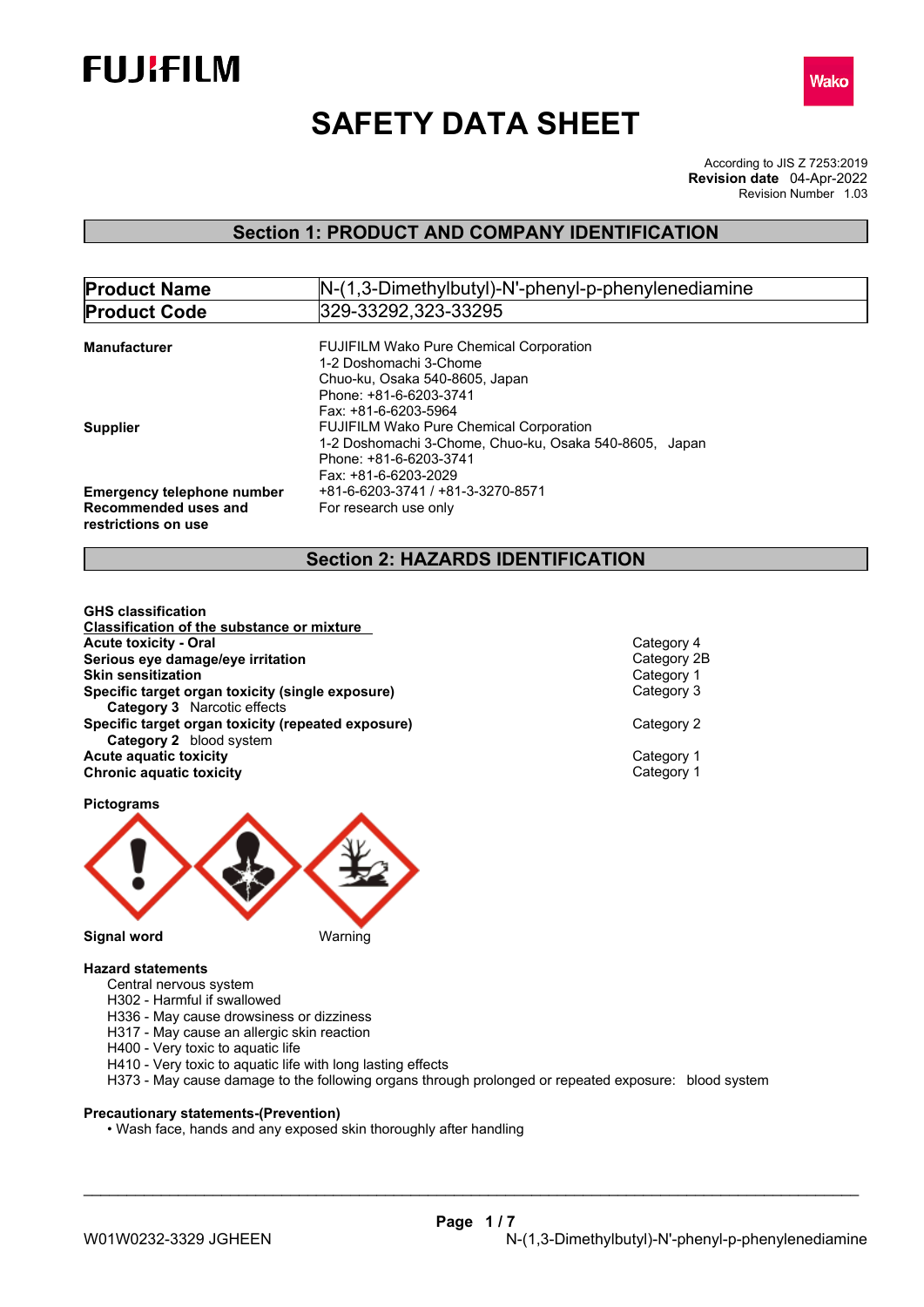



# **SAFETY DATA SHEET**

According to JIS Z 7253:2019 Revision Number 1.03 **Revision date** 04-Apr-2022

# **Section 1: PRODUCT AND COMPANY IDENTIFICATION**

| N-(1,3-Dimethylbutyl)-N'-phenyl-p-phenylenediamine     |
|--------------------------------------------------------|
| 329-33292,323-33295                                    |
| <b>FUJIFILM Wako Pure Chemical Corporation</b>         |
| 1-2 Doshomachi 3-Chome                                 |
| Chuo-ku. Osaka 540-8605. Japan                         |
| Phone: +81-6-6203-3741                                 |
| Fax: +81-6-6203-5964                                   |
| <b>FUJIFILM Wako Pure Chemical Corporation</b>         |
| 1-2 Doshomachi 3-Chome, Chuo-ku, Osaka 540-8605, Japan |
| Phone: +81-6-6203-3741                                 |
| Fax: +81-6-6203-2029                                   |
| +81-6-6203-3741 / +81-3-3270-8571                      |
| For research use only                                  |
|                                                        |

# **Section 2: HAZARDS IDENTIFICATION**

**GHS classification Classification of the substance or mixture Acute toxicity - Oral** Category 4 **Serious eye damage/eye irritation** Category 2B **Skin sensitization Specific target organ toxicity (single exposure)** Category 3 **Category 3** Narcotic effects **Specific target organ toxicity (repeated exposure) Category 2 Category 2** blood system **Acute** aquatic toxicity<br> **Category 1** Chronic aquatic toxicity<br>
Category 1 **Chronic aquatic toxicity** 

**Pictograms**



### **Hazard statements**

- Central nervous system
- H302 Harmful if swallowed
- H336 May cause drowsiness or dizziness
- H317 May cause an allergic skin reaction
- H400 Very toxic to aquatic life
- H410 Very toxic to aquatic life with long lasting effects
- H373 May cause damage to the following organs through prolonged or repeated exposure: blood system

# **Precautionary statements-(Prevention)**

• Wash face, hands and any exposed skin thoroughly after handling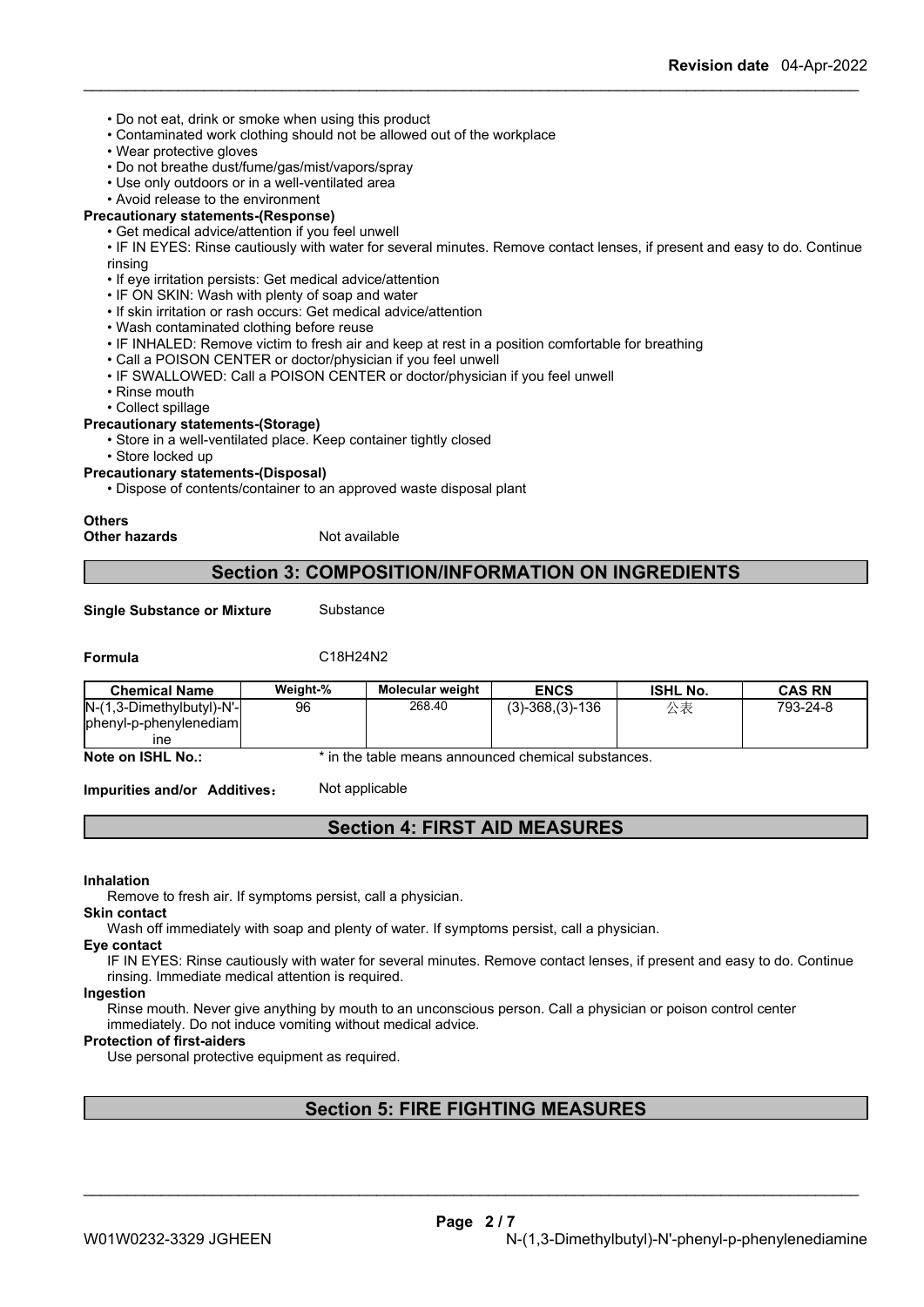- Do not eat, drink or smoke when using this product
- Contaminated work clothing should not be allowed out of the workplace
- Wear protective gloves
- Do not breathe dust/fume/gas/mist/vapors/spray
- Use only outdoors or in a well-ventilated area
- Avoid release to the environment

# **Precautionary statements-(Response)**

- Get medical advice/attention if you feel unwell
- IF IN EYES: Rinse cautiously with water for several minutes. Remove contact lenses, if present and easy to do. Continue rinsing
- If eye irritation persists: Get medical advice/attention
- IF ON SKIN: Wash with plenty of soap and water
- If skin irritation or rash occurs: Get medical advice/attention
- Wash contaminated clothing before reuse
- IF INHALED: Remove victim to fresh air and keep at rest in a position comfortable for breathing
- Call a POISON CENTER or doctor/physician if you feel unwell
- IF SWALLOWED: Call a POISON CENTER or doctor/physician if you feel unwell
- Rinse mouth
- Collect spillage

# **Precautionary statements-(Storage)**

- Store in a well-ventilated place. Keep container tightly closed
- Store locked up

**Precautionary statements-(Disposal)**

• Dispose of contents/container to an approved waste disposal plant

### **Others**

**Other hazards** Not available

# **Section 3: COMPOSITION/INFORMATION ON INGREDIENTS**

**Single Substance or Mixture** Substance

# **Formula** C18H24N2

| <b>Chemical Name</b>         | Weight-% | Molecular weight | <b>ENCS</b>      | <b>ISHL No.</b> | CAS RN   |
|------------------------------|----------|------------------|------------------|-----------------|----------|
| $N-(1,3-Dimethylbutyl)-N'-l$ | 96       | 268.40           | $(3)-368(3)-136$ | ハま<br>ムベ        | 793-24-8 |
| phenyl-p-phenylenediam       |          |                  |                  |                 |          |
| ıne                          |          |                  |                  |                 |          |

**Note on ISHL No.:** \* in the table means announced chemical substances.

**Impurities and/or Additives:** Not applicable

# **Section 4: FIRST AID MEASURES**

**Inhalation**

Remove to fresh air. If symptoms persist, call a physician.

# **Skin contact**

Wash off immediately with soap and plenty of water. If symptoms persist, call a physician.

### **Eye contact**

IF IN EYES: Rinse cautiously with water for several minutes. Remove contact lenses, if present and easy to do. Continue rinsing. Immediate medical attention is required.

#### **Ingestion**

Rinse mouth. Never give anything by mouth to an unconscious person. Call a physician or poison control center immediately. Do not induce vomiting without medical advice.

### **Protection of first-aiders**

Use personal protective equipment as required.

# **Section 5: FIRE FIGHTING MEASURES**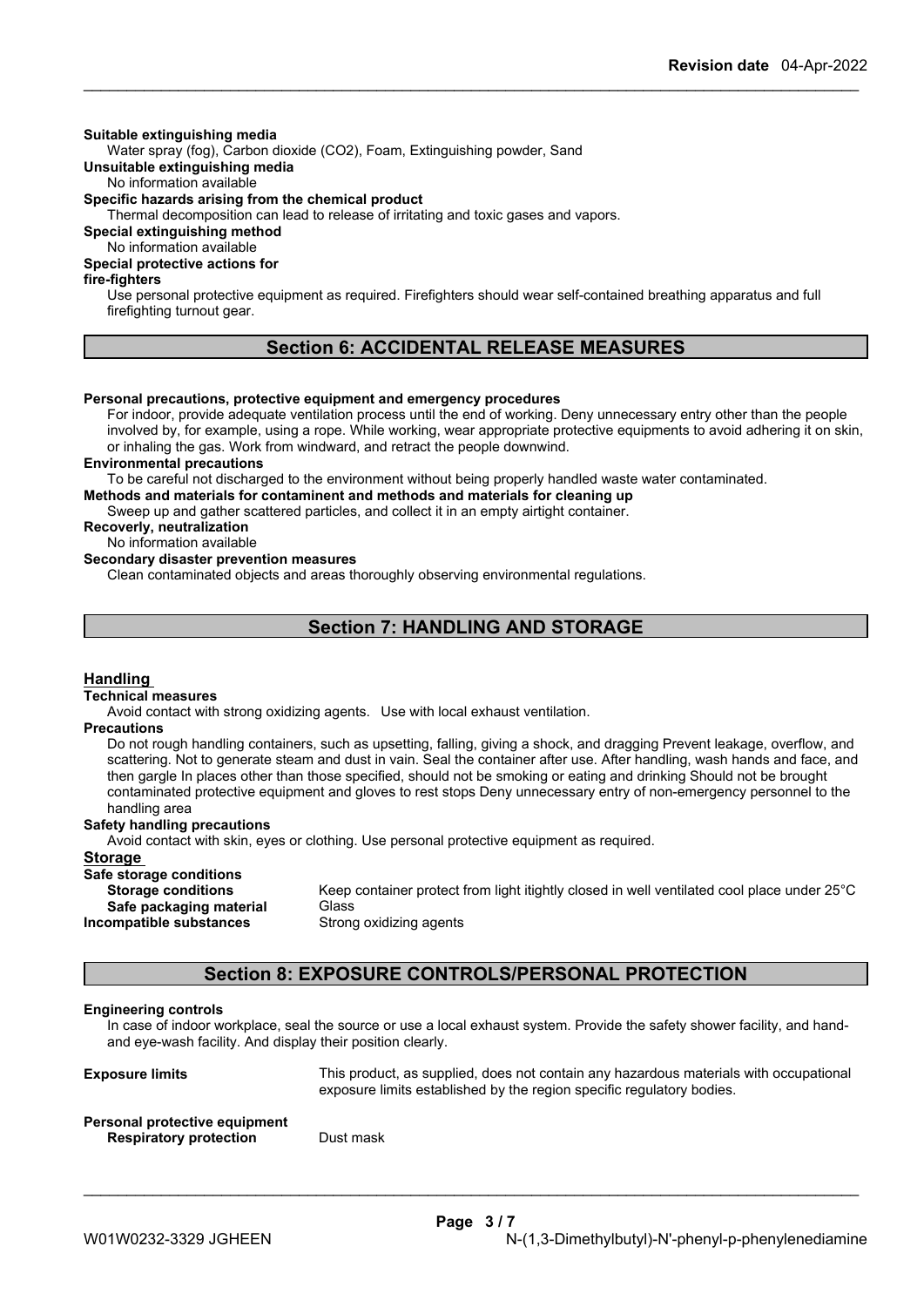### **Suitable extinguishing media**

Water spray (fog), Carbon dioxide (CO2), Foam, Extinguishing powder, Sand

**Unsuitable extinguishing media**

No information available

**Specific hazards arising from the chemical product**

Thermal decomposition can lead to release of irritating and toxic gases and vapors.

**Special extinguishing method**

No information available **Special protective actions for**

**fire-fighters**

Use personal protective equipment as required. Firefighters should wear self-contained breathing apparatus and full firefighting turnout gear.

# **Section 6: ACCIDENTAL RELEASE MEASURES**

### **Personal precautions, protective equipment and emergency procedures**

For indoor, provide adequate ventilation process until the end of working. Deny unnecessary entry other than the people involved by, for example, using a rope. While working, wear appropriate protective equipments to avoid adhering it on skin, or inhaling the gas. Work from windward, and retract the people downwind.

### **Environmental precautions**

To be careful not discharged to the environment without being properly handled waste water contaminated.

**Methods and materials for contaminent and methods and materials for cleaning up**

Sweep up and gather scattered particles, and collect it in an empty airtight container.

# **Recoverly, neutralization**

No information available

# **Secondary disaster prevention measures**

Clean contaminated objects and areas thoroughly observing environmental regulations.

# **Section 7: HANDLING AND STORAGE**

### **Handling**

#### **Technical measures**

Avoid contact with strong oxidizing agents. Use with local exhaust ventilation.

### **Precautions**

Do not rough handling containers, such as upsetting, falling, giving a shock, and dragging Prevent leakage, overflow, and scattering. Not to generate steam and dust in vain. Seal the container after use. After handling, wash hands and face, and then gargle In places other than those specified, should not be smoking or eating and drinking Should not be brought contaminated protective equipment and gloves to rest stops Deny unnecessary entry of non-emergency personnel to the handling area

### **Safety handling precautions**

Avoid contact with skin, eyes or clothing. Use personal protective equipment as required.

### **Storage**

# **Safe storage conditions**

| <b>Storage conditions</b> | Keep container protect from |
|---------------------------|-----------------------------|
| Safe packaging material   | Glass                       |
| Incompatible substances   | Strong oxidizing agents     |

Keep container protect from light itightly closed in well ventilated cool place under 25°C **Strong oxidizing agents** 

# **Section 8: EXPOSURE CONTROLS/PERSONAL PROTECTION**

### **Engineering controls**

In case of indoor workplace, seal the source or use a local exhaust system. Provide the safety shower facility, and handand eye-wash facility. And display their position clearly.

**Exposure limits** This product, as supplied, does not contain any hazardous materials with occupational exposure limits established by the region specific regulatory bodies.

\_\_\_\_\_\_\_\_\_\_\_\_\_\_\_\_\_\_\_\_\_\_\_\_\_\_\_\_\_\_\_\_\_\_\_\_\_\_\_\_\_\_\_\_\_\_\_\_\_\_\_\_\_\_\_\_\_\_\_\_\_\_\_\_\_\_\_\_\_\_\_\_\_\_\_\_\_\_\_\_\_\_\_\_\_\_\_\_\_\_

### **Personal protective equipment Respiratory protection** Dust mask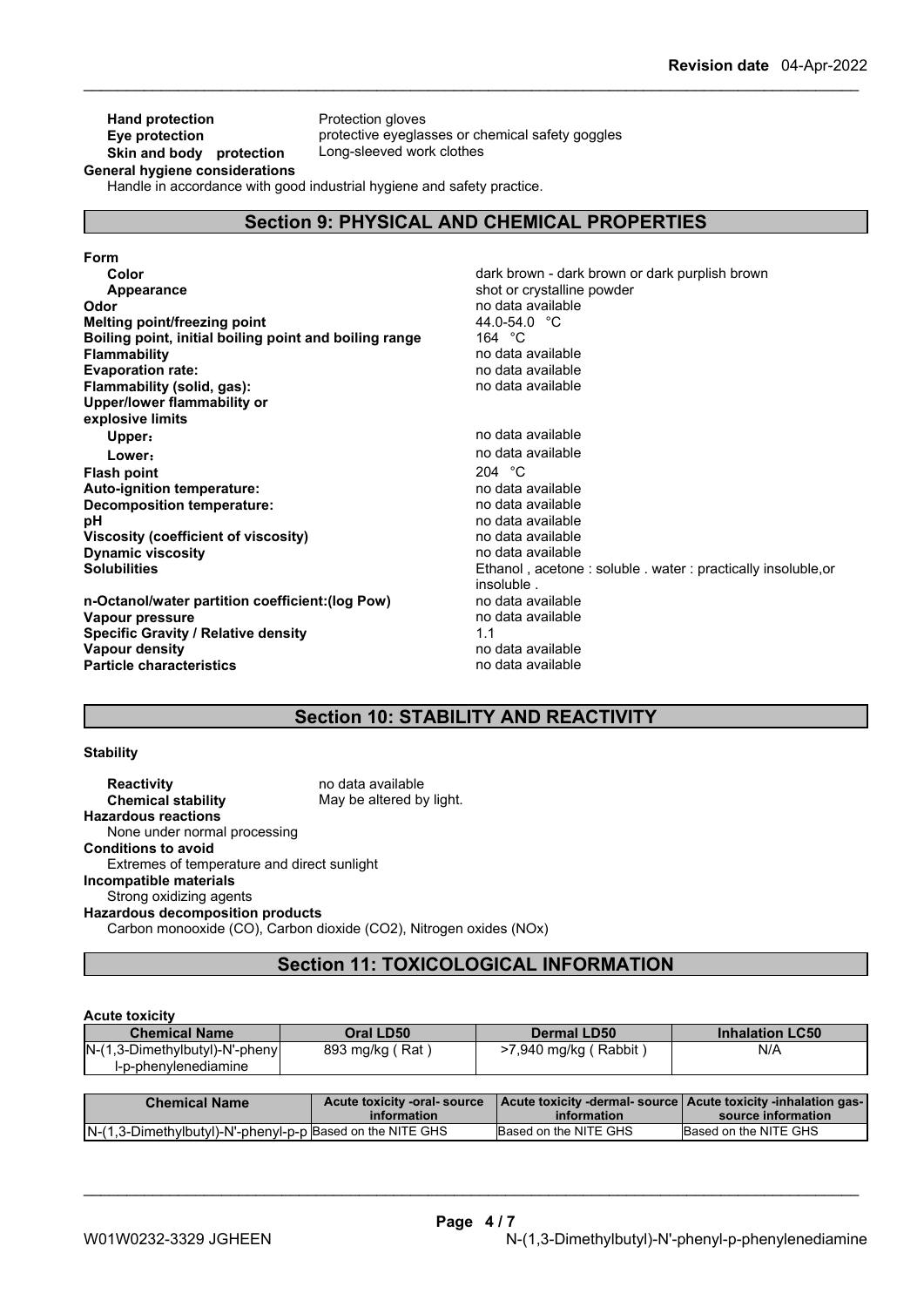# **Hand protection**<br> **Eye protection**<br> **Eye protection**<br> **Protective eyeglas Skin and body protection** Long-sleeved work clothes

protective eyeglasses or chemical safety goggles

**General hygiene considerations**

Handle in accordance with good industrial hygiene and safety practice.

# **Section 9: PHYSICAL AND CHEMICAL PROPERTIES**

| Form                                                   |                                                             |
|--------------------------------------------------------|-------------------------------------------------------------|
| Color                                                  | dark brown - dark brown or dark purplish brown              |
| Appearance                                             | shot or crystalline powder                                  |
| Odor                                                   | no data available                                           |
| Melting point/freezing point                           | 44.0-54.0 $\degree$ C                                       |
| Boiling point, initial boiling point and boiling range | 164 °C                                                      |
| <b>Flammability</b>                                    | no data available                                           |
| <b>Evaporation rate:</b>                               | no data available                                           |
| Flammability (solid, gas):                             | no data available                                           |
| Upper/lower flammability or                            |                                                             |
| explosive limits                                       |                                                             |
| Upper:                                                 | no data available                                           |
| Lower:                                                 | no data available                                           |
| <b>Flash point</b>                                     | 204 $^{\circ}$ C                                            |
| Auto-ignition temperature:                             | no data available                                           |
| Decomposition temperature:                             | no data available                                           |
| рH                                                     | no data available                                           |
| Viscosity (coefficient of viscosity)                   | no data available                                           |
| <b>Dynamic viscosity</b>                               | no data available                                           |
| <b>Solubilities</b>                                    | Ethanol, acetone: soluble. water: practically insoluble, or |
|                                                        | insoluble.                                                  |
| n-Octanol/water partition coefficient: (log Pow)       | no data available                                           |
| Vapour pressure                                        | no data available                                           |
| <b>Specific Gravity / Relative density</b>             | 1.1                                                         |
| Vapour density                                         | no data available                                           |
| <b>Particle characteristics</b>                        | no data available                                           |

# **Section 10: STABILITY AND REACTIVITY**

### **Stability**

**Reactivity** no data available **Chemical stability** May be altered by light. **Hazardous reactions** None under normal processing **Conditions to avoid** Extremes of temperature and direct sunlight **Incompatible materials** Strong oxidizing agents **Hazardous decomposition products** Carbon monooxide (CO), Carbon dioxide (CO2), Nitrogen oxides (NOx)

# **Section 11: TOXICOLOGICAL INFORMATION**

### **Acute toxicity**

|                                                                                                                  | <b>Chemical Name</b> | Oral LD50 | <b>Dermal LD50</b> | <b>Inhalation LC50</b> |
|------------------------------------------------------------------------------------------------------------------|----------------------|-----------|--------------------|------------------------|
| $N-(1,3-Dimethylbutyl)-N'-phenyl$<br>N/A<br>893 mg/kg (<br>>7,940 mg/kg (Rabbit)<br>(Rat<br>l-p-phenvlenediamine |                      |           |                    |                        |

| <b>Chemical Name</b>                                      | Acute toxicity -oral- source<br><b>information</b> | information           | source information    |
|-----------------------------------------------------------|----------------------------------------------------|-----------------------|-----------------------|
| N-(1,3-Dimethylbutyl)-N'-phenyl-p-p Based on the NITE GHS |                                                    | Based on the NITE GHS | Based on the NITE GHS |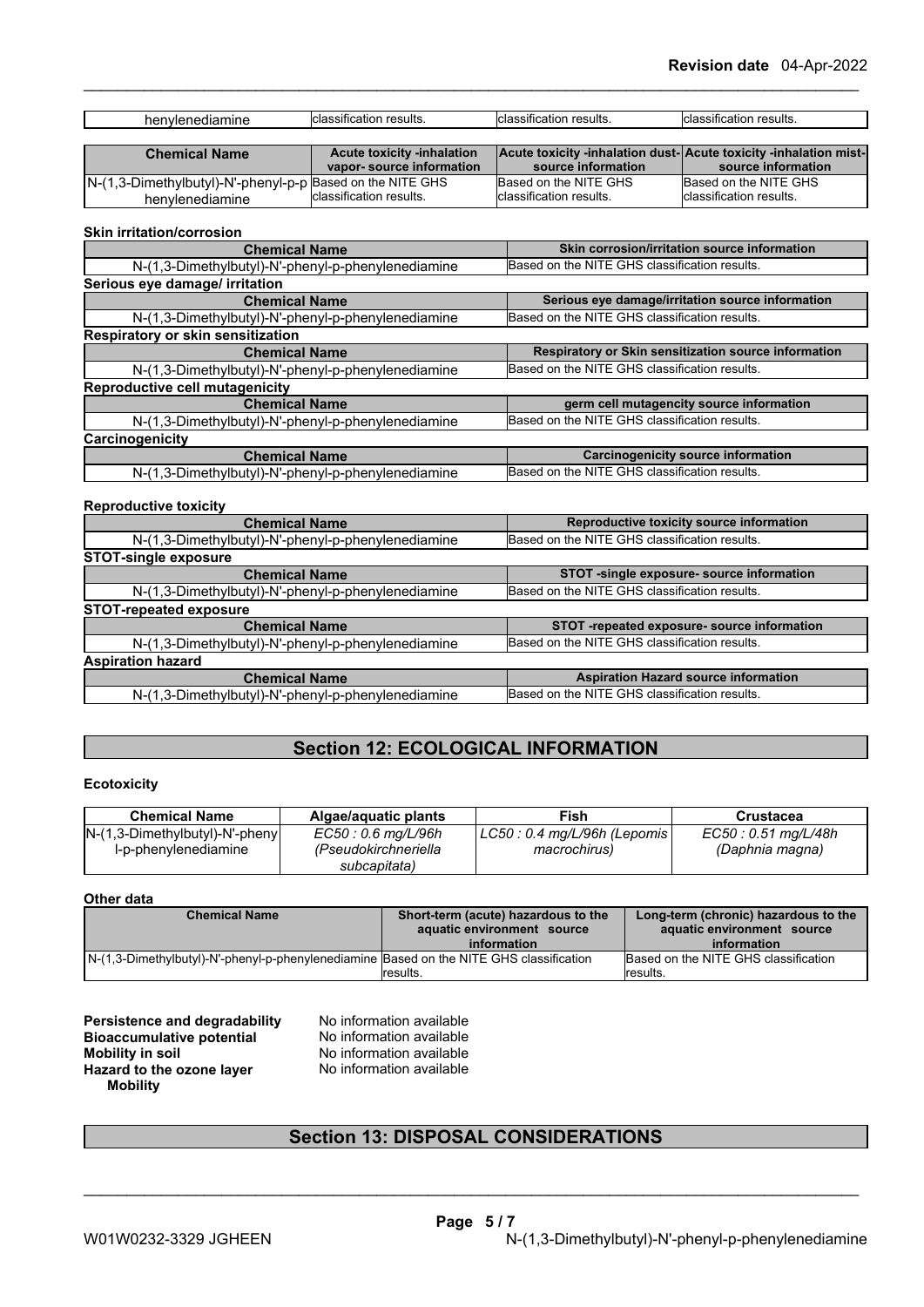| ----------<br>٦e<br>יומו י<br>ю | - ---<br>$-0.117$<br>،rır<br>этіс<br><br>วนแอ | $-1$<br>วsults<br>`atio.<br>sın | . .<br>sults<br>- -<br>$ C  \leq$<br>atic<br>п. |
|---------------------------------|-----------------------------------------------|---------------------------------|-------------------------------------------------|
|                                 |                                               |                                 |                                                 |

| <b>Chemical Name</b>                                      | <b>Acute toxicity -inhalation</b> |                          | <b>Acute toxicity -inhalation dust-Acute toxicity -inhalation mist-</b> |
|-----------------------------------------------------------|-----------------------------------|--------------------------|-------------------------------------------------------------------------|
|                                                           | vapor-source information          | source information       | source information                                                      |
| N-(1,3-Dimethylbutyl)-N'-phenyl-p-p Based on the NITE GHS |                                   | Based on the NITE GHS    | Based on the NITE GHS                                                   |
| henvlenediamine                                           | classification results.           | Iclassification results. | Iclassification results.                                                |

# **Skin irritation/corrosion**

| <b>Chemical Name</b>                               | Skin corrosion/irritation source information         |
|----------------------------------------------------|------------------------------------------------------|
| N-(1,3-Dimethylbutyl)-N'-phenyl-p-phenylenediamine | Based on the NITE GHS classification results.        |
| Serious eye damage/ irritation                     |                                                      |
| <b>Chemical Name</b>                               | Serious eye damage/irritation source information     |
| N-(1,3-Dimethylbutyl)-N'-phenyl-p-phenylenediamine | Based on the NITE GHS classification results.        |
| Respiratory or skin sensitization                  |                                                      |
| <b>Chemical Name</b>                               | Respiratory or Skin sensitization source information |
| N-(1,3-Dimethylbutyl)-N'-phenyl-p-phenylenediamine | Based on the NITE GHS classification results.        |
| <b>Reproductive cell mutagenicity</b>              |                                                      |
| <b>Chemical Name</b>                               | germ cell mutagencity source information             |
| N-(1,3-Dimethylbutyl)-N'-phenyl-p-phenylenediamine | Based on the NITE GHS classification results.        |
| Carcinogenicity                                    |                                                      |
| <b>Chemical Name</b>                               | <b>Carcinogenicity source information</b>            |
| N-(1,3-Dimethylbutyl)-N'-phenyl-p-phenylenediamine | Based on the NITE GHS classification results.        |

### **Reproductive toxicity**

| <b>Chemical Name</b>                                                                                | Reproductive toxicity source information    |
|-----------------------------------------------------------------------------------------------------|---------------------------------------------|
| Based on the NITE GHS classification results.<br>N-(1,3-Dimethylbutyl)-N'-phenyl-p-phenylenediamine |                                             |
| <b>STOT-single exposure</b>                                                                         |                                             |
| <b>Chemical Name</b>                                                                                | STOT -single exposure- source information   |
| Based on the NITE GHS classification results.<br>N-(1,3-Dimethylbutyl)-N'-phenyl-p-phenylenediamine |                                             |
| <b>STOT-repeated exposure</b>                                                                       |                                             |
| <b>Chemical Name</b>                                                                                | STOT-repeated exposure- source information  |
| Based on the NITE GHS classification results.<br>N-(1,3-Dimethylbutyl)-N'-phenyl-p-phenylenediamine |                                             |
| <b>Aspiration hazard</b>                                                                            |                                             |
| <b>Chemical Name</b>                                                                                | <b>Aspiration Hazard source information</b> |
| Based on the NITE GHS classification results.<br>N-(1,3-Dimethylbutyl)-N'-phenyl-p-phenylenediamine |                                             |

# **Section 12: ECOLOGICAL INFORMATION**

## **Ecotoxicity**

| <b>Chemical Name</b>              | Algae/aguatic plants | Fish                         | Crustacea            |
|-----------------------------------|----------------------|------------------------------|----------------------|
| $N-(1,3-Dimethylbutyl)-N'-phenyl$ | EC50 : 0.6 mg/L/96h  | LC50 : 0.4 mg/L/96h (Lepomis | EC50 : 0.51 mg/L/48h |
| l-p-phenylenediamine              | (Pseudokirchneriella | macrochirus)                 | (Daphnia magna)      |
|                                   | subcapitata)         |                              |                      |

# **Other data**

| <b>Chemical Name</b>                                                                    | Short-term (acute) hazardous to the | Long-term (chronic) hazardous to the |  |
|-----------------------------------------------------------------------------------------|-------------------------------------|--------------------------------------|--|
|                                                                                         | aquatic environment source          | aquatic environment source           |  |
|                                                                                         | information                         | information                          |  |
| N-(1,3-Dimethylbutyl)-N'-phenyl-p-phenylenediamine Based on the NITE GHS classification |                                     | Based on the NITE GHS classification |  |
|                                                                                         | results.                            | lresults.                            |  |

# **Persistence and degradability** No information available<br>**Bioaccumulative potential** No information available **Bioaccumulative potential Mobility in soil**<br> **Hazard to the ozone laver** Mo information available<br>
No information available **Hazard** to the ozone layer **Mobility**

# **Section 13: DISPOSAL CONSIDERATIONS**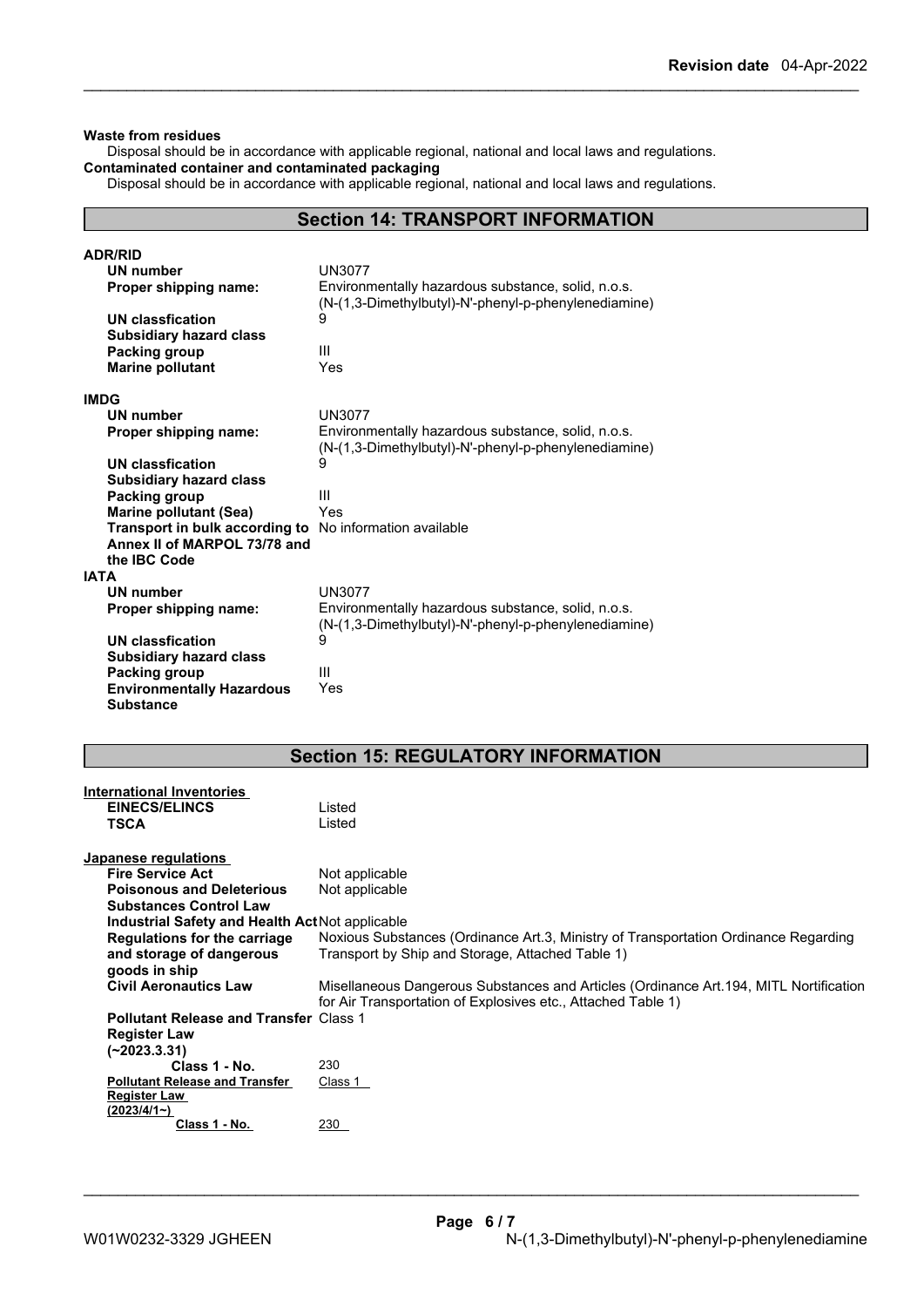### **Waste from residues**

Disposal should be in accordance with applicable regional, national and local laws and regulations. **Contaminated container and contaminated packaging**

Disposal should be in accordance with applicable regional, national and local laws and regulations.

# **Section 14: TRANSPORT INFORMATION**

| <b>ADR/RID</b>                   |                                                                                                            |  |
|----------------------------------|------------------------------------------------------------------------------------------------------------|--|
| <b>UN number</b>                 | <b>UN3077</b>                                                                                              |  |
| Proper shipping name:            | Environmentally hazardous substance, solid, n.o.s.<br>(N-(1,3-Dimethylbutyl)-N'-phenyl-p-phenylenediamine) |  |
| UN classfication                 | 9                                                                                                          |  |
| <b>Subsidiary hazard class</b>   |                                                                                                            |  |
| Packing group                    | Ш                                                                                                          |  |
| <b>Marine pollutant</b>          | Yes                                                                                                        |  |
| <b>IMDG</b>                      |                                                                                                            |  |
| UN number                        | <b>UN3077</b>                                                                                              |  |
| Proper shipping name:            | Environmentally hazardous substance, solid, n.o.s.<br>(N-(1,3-Dimethylbutyl)-N'-phenyl-p-phenylenediamine) |  |
| UN classfication                 | 9                                                                                                          |  |
| <b>Subsidiary hazard class</b>   |                                                                                                            |  |
| Packing group                    | III                                                                                                        |  |
| <b>Marine pollutant (Sea)</b>    | Yes                                                                                                        |  |
| Transport in bulk according to   | No information available                                                                                   |  |
| Annex II of MARPOL 73/78 and     |                                                                                                            |  |
| the IBC Code                     |                                                                                                            |  |
| <b>IATA</b>                      |                                                                                                            |  |
| <b>UN number</b>                 | <b>UN3077</b>                                                                                              |  |
| Proper shipping name:            | Environmentally hazardous substance, solid, n.o.s.<br>(N-(1,3-Dimethylbutyl)-N'-phenyl-p-phenylenediamine) |  |
| UN classfication                 | 9                                                                                                          |  |
| <b>Subsidiary hazard class</b>   |                                                                                                            |  |
| Packing group                    | III                                                                                                        |  |
| <b>Environmentally Hazardous</b> | Yes                                                                                                        |  |
| <b>Substance</b>                 |                                                                                                            |  |

# **Section 15: REGULATORY INFORMATION**

| <b>International Inventories</b>                |                                                                                        |
|-------------------------------------------------|----------------------------------------------------------------------------------------|
| <b>EINECS/ELINCS</b>                            | Listed                                                                                 |
| <b>TSCA</b>                                     | Listed                                                                                 |
|                                                 |                                                                                        |
| Japanese regulations                            |                                                                                        |
| <b>Fire Service Act</b>                         | Not applicable                                                                         |
| <b>Poisonous and Deleterious</b>                | Not applicable                                                                         |
| <b>Substances Control Law</b>                   |                                                                                        |
| Industrial Safety and Health Act Not applicable |                                                                                        |
| Regulations for the carriage                    | Noxious Substances (Ordinance Art.3, Ministry of Transportation Ordinance Regarding    |
| and storage of dangerous                        | Transport by Ship and Storage, Attached Table 1)                                       |
| goods in ship                                   |                                                                                        |
| <b>Civil Aeronautics Law</b>                    | Misellaneous Dangerous Substances and Articles (Ordinance Art. 194, MITL Nortification |
|                                                 | for Air Transportation of Explosives etc., Attached Table 1)                           |
| <b>Pollutant Release and Transfer Class 1</b>   |                                                                                        |
| <b>Register Law</b>                             |                                                                                        |
| (~2023.3.31)                                    |                                                                                        |
| Class 1 - No.                                   | 230                                                                                    |
| <b>Pollutant Release and Transfer</b>           | Class 1                                                                                |
| <b>Register Law</b>                             |                                                                                        |
| (2023/4/1)                                      |                                                                                        |
| Class 1 - No.                                   | 230                                                                                    |
|                                                 |                                                                                        |